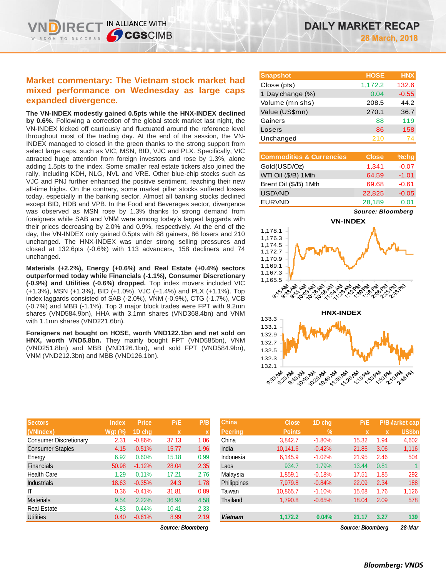# **Market commentary: The Vietnam stock market had mixed performance on Wednesday as large caps expanded divergence.**

IN ALLIANCE WITH

**CGSCIMB** 

**The VN-INDEX modestly gained 0.5pts while the HNX-INDEX declined by 0.6%.** Following a correction of the global stock market last night, the VN-INDEX kicked off cautiously and fluctuated around the reference level throughout most of the trading day. At the end of the session, the VN-INDEX managed to closed in the green thanks to the strong support from select large caps, such as VIC, MSN, BID, VJC and PLX. Specifically, VIC attracted huge attention from foreign investors and rose by 1.3%, alone adding 1.5pts to the index. Some smaller real estate tickers also joined the rally, including KDH, NLG, NVL and VRE. Other blue-chip stocks such as VJC and PNJ further enhanced the positive sentiment, reaching their new all-time highs. On the contrary, some market pillar stocks suffered losses today, especially in the banking sector. Almost all banking stocks declined except BID, HDB and VPB. In the Food and Beverages sector, divergence was observed as MSN rose by 1.3% thanks to strong demand from foreigners while SAB and VNM were among today's largest laggards with their prices decreasing by 2.0% and 0.9%, respectively. At the end of the day, the VN-INDEX only gained 0.5pts with 88 gainers, 86 losers and 210 unchanged. The HNX-INDEX was under strong selling pressures and closed at 132.6pts (-0.6%) with 113 advancers, 158 decliners and 74 unchanged.

**Materials (+2.2%), Energy (+0.6%) and Real Estate (+0.4%) sectors outperformed today while Financials (-1.1%), Consumer Discretionary (-0.9%) and Utilities (-0.6%) dropped.** Top index movers included VIC (+1.3%), MSN (+1.3%), BID (+1.0%), VJC (+1.4%) and PLX (+1.1%). Top index laggards consisted of SAB (-2.0%), VNM (-0.9%), CTG (-1.7%), VCB (-0.7%) and MBB (-1.1%). Top 3 major block trades were FPT with 9.2mn shares (VND584.9bn), HHA with 3.1mn shares (VND368.4bn) and VNM with 1.1mn shares (VND221.6bn).

**Foreigners net bought on HOSE, worth VND122.1bn and net sold on HNX, worth VND5.8bn.** They mainly bought FPT (VND585bn), VNM (VND251.8bn) and MBB (VND126.1bn), and sold FPT (VND584.9bn), VNM (VND212.3bn) and MBB (VND126.1bn).

| <b>Sectors</b>                | <b>Index</b> | <b>Price</b> | P/E   | P/B  |
|-------------------------------|--------------|--------------|-------|------|
| (VNIndex)                     | Wgt (%)      | 1D chg       | x     | X    |
| <b>Consumer Discretionary</b> | 2.31         | $-0.86%$     | 37.13 | 1.06 |
| <b>Consumer Staples</b>       | 4.15         | $-0.51%$     | 15.77 | 1.96 |
| Energy                        | 6.92         | 0.60%        | 15.18 | 0.99 |
| <b>Financials</b>             | 50.98        | $-1.12%$     | 28.04 | 2.35 |
| <b>Health Care</b>            | 1.29         | 0.11%        | 17.21 | 2.76 |
| <b>Industrials</b>            | 18.63        | $-0.35%$     | 24.3  | 1.78 |
| IΤ                            | 0.36         | $-0.41%$     | 31.81 | 0.89 |
| <b>Materials</b>              | 9.54         | 2.22%        | 36.94 | 4.58 |
| <b>Real Estate</b>            | 4.83         | 0.44%        | 10.41 | 2.33 |
| <b>Utilities</b>              | 0.40         | $-0.61%$     | 8.99  | 2.19 |

| <b>Snapshot</b>  | <b>HOSE</b> | <b>HNX</b> |
|------------------|-------------|------------|
| Close (pts)      | 1,172.2     | 132.6      |
| 1 Day change (%) | 0.04        | $-0.55$    |
| Volume (mn shs)  | 208.5       | 44.2       |
| Value (US\$mn)   | 270.1       | 36.7       |
| Gainers          | 88          | 119        |
| Losers           | 86          | 158        |
| Unchanged        | 210         |            |

| <b>Commodities &amp; Currencies</b> | <b>Close</b> | $%$ chg |
|-------------------------------------|--------------|---------|
| Gold(USD/Oz)                        | 1,341        | $-0.07$ |
| WTI Oil (\$/B) 1Mth                 | 64.59        | $-1.01$ |
| Brent Oil (\$/B) 1Mth               | 69.68        | $-0.61$ |
| <b>USDVND</b>                       | 22,825       | $-0.05$ |
| <b>EURVND</b>                       | 28,189       | 0.01    |

*Source: Bloomberg*





| <b>Sectors</b>         | <b>Index</b>   | <b>Price</b> | P/E                       | P/B  | <b>China</b>   | <b>Close</b>  | 1D chq   | P/E               |      | P/B Market cap |
|------------------------|----------------|--------------|---------------------------|------|----------------|---------------|----------|-------------------|------|----------------|
| (VNIndex)              | <b>Wgt</b> (%) | 1D cha       | $\boldsymbol{\mathsf{x}}$ |      | <b>Peering</b> | <b>Points</b> | $\%$     | x                 |      | <b>US\$bn</b>  |
| Consumer Discretionary | 2.31           | $-0.86%$     | 37.13                     | 1.06 | China          | 3.842.7       | $-1.80%$ | 15.32             | 1.94 | 4,602          |
| Consumer Staples       | 4.15           | $-0.51%$     | 15.77                     | 1.96 | India          | 10,141.6      | $-0.42%$ | 21.85             | 3.06 | 1,116          |
| Energy                 | 6.92           | 0.60%        | 15.18                     | 0.99 | Indonesia      | 6.145.9       | $-1.02%$ | 21.95             | 2.46 | 504            |
| Financials             | 50.98          | $-1.12%$     | 28.04                     | 2.35 | Laos           | 934.7         | 1.79%    | 13.44             | 0.81 |                |
| Health Care            | 1.29           | 0.11%        | 17.21                     | 2.76 | Malavsia       | 1.859.1       | $-0.18%$ | 17.51             | 1.85 | 292            |
| <b>Industrials</b>     | 18.63          | $-0.35%$     | 24.3                      | 1.78 | Philippines    | 7.979.8       | $-0.84%$ | 22.09             | 2.34 | 188            |
|                        | 0.36           | $-0.41%$     | 31.81                     | 0.89 | Taiwan         | 10.865.7      | $-1.10%$ | 15.68             | 1.76 | 1,126          |
| Materials              | 9.54           | 2.22%        | 36.94                     | 4.58 | Thailand       | 1,790.8       | $-0.65%$ | 18.04             | 2.09 | 578            |
| Real Estate            | 4.83           | 0.44%        | 10.41                     | 2.33 |                |               |          |                   |      |                |
| Utilities              | 0.40           | $-0.61%$     | 8.99                      | 2.19 | <b>Vietnam</b> | 1,172.2       | 0.04%    | 21.17             | 3.27 | 139            |
|                        |                |              | Source: Bloomberg         |      |                |               |          | Source: Bloomberg |      | 28-Mar         |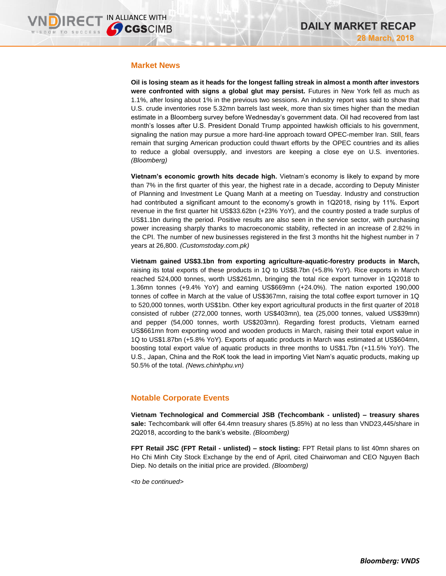### **Market News**

**Oil is losing steam as it heads for the longest falling streak in almost a month after investors were confronted with signs a global glut may persist.** Futures in New York fell as much as 1.1%, after losing about 1% in the previous two sessions. An industry report was said to show that U.S. crude inventories rose 5.32mn barrels last week, more than six times higher than the median estimate in a Bloomberg survey before Wednesday's government data. Oil had recovered from last month's losses after U.S. President Donald Trump appointed hawkish officials to his government, signaling the nation may pursue a more hard-line approach toward OPEC-member Iran. Still, fears remain that surging American production could thwart efforts by the OPEC countries and its allies to reduce a global oversupply, and investors are keeping a close eye on U.S. inventories. *(Bloomberg)*

**Vietnam's economic growth hits decade high.** Vietnam's economy is likely to expand by more than 7% in the first quarter of this year, the highest rate in a decade, according to Deputy Minister of Planning and Investment Le Quang Manh at a meeting on Tuesday. Industry and construction had contributed a significant amount to the economy's growth in 1Q2018, rising by 11%. Export revenue in the first quarter hit US\$33.62bn (+23% YoY), and the country posted a trade surplus of US\$1.1bn during the period. Positive results are also seen in the service sector, with purchasing power increasing sharply thanks to macroeconomic stability, reflected in an increase of 2.82% in the CPI. The number of new businesses registered in the first 3 months hit the highest number in 7 years at 26,800. *(Customstoday.com.pk)*

**Vietnam gained US\$3.1bn from exporting agriculture-aquatic-forestry products in March,**  raising its total exports of these products in 1Q to US\$8.7bn (+5.8% YoY). Rice exports in March reached 524,000 tonnes, worth US\$261mn, bringing the total rice export turnover in 1Q2018 to 1.36mn tonnes (+9.4% YoY) and earning US\$669mn (+24.0%). The nation exported 190,000 tonnes of coffee in March at the value of US\$367mn, raising the total coffee export turnover in 1Q to 520,000 tonnes, worth US\$1bn. Other key export agricultural products in the first quarter of 2018 consisted of rubber (272,000 tonnes, worth US\$403mn), tea (25,000 tonnes, valued US\$39mn) and pepper (54,000 tonnes, worth US\$203mn). Regarding forest products, Vietnam earned US\$661mn from exporting wood and wooden products in March, raising their total export value in 1Q to US\$1.87bn (+5.8% YoY). Exports of aquatic products in March was estimated at US\$604mn, boosting total export value of aquatic products in three months to US\$1.7bn (+11.5% YoY). The U.S., Japan, China and the RoK took the lead in importing Viet Nam's aquatic products, making up 50.5% of the total. *(News.chinhphu.vn)*

# **Notable Corporate Events**

**Vietnam Technological and Commercial JSB (Techcombank - unlisted) – treasury shares sale:** Techcombank will offer 64.4mn treasury shares (5.85%) at no less than VND23,445/share in 2Q2018, according to the bank's website. *(Bloomberg)*

**FPT Retail JSC (FPT Retail - unlisted) – stock listing:** FPT Retail plans to list 40mn shares on Ho Chi Minh City Stock Exchange by the end of April, cited Chairwoman and CEO Nguyen Bach Diep. No details on the initial price are provided. *(Bloomberg)*

*<to be continued>*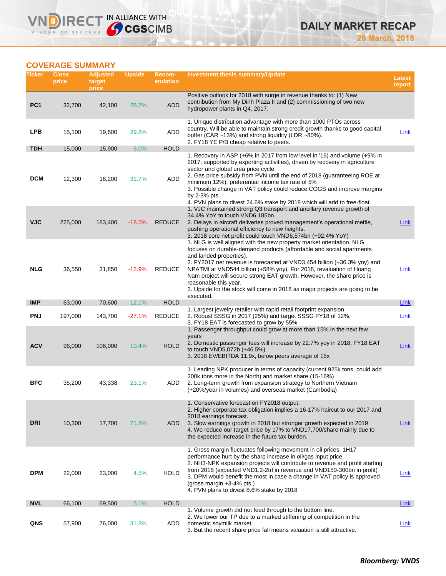# **COVERAGE SUMMARY**

**VNDIRECT IN ALLIANCE WITH** 

| Ticker          | <b>Close</b><br>price | <b>Adjusted</b><br>target<br>price | <b>Upside</b> | Recom-<br>endation | <b>Investment thesis summary/Update</b>                                                                                                                                                                                                                                                                                                                                                                                                                                                                                   | Latest<br>report |
|-----------------|-----------------------|------------------------------------|---------------|--------------------|---------------------------------------------------------------------------------------------------------------------------------------------------------------------------------------------------------------------------------------------------------------------------------------------------------------------------------------------------------------------------------------------------------------------------------------------------------------------------------------------------------------------------|------------------|
| PC <sub>1</sub> | 32,700                | 42,100                             | 28.7%         | <b>ADD</b>         | Positive outlook for 2018 with surge in revenue thanks to: (1) New<br>contribution from My Dinh Plaza II and (2) commissioning of two new<br>hydropower plants in Q4, 2017.                                                                                                                                                                                                                                                                                                                                               |                  |
| <b>LPB</b>      | 15,100                | 19,600                             | 29.8%         | ADD                | 1. Unique distribution advantage with more than 1000 PTOs across<br>country. Will be able to maintain strong credit growth thanks to good capital<br>buffer (CAR ~13%) and strong liquidity (LDR ~80%).<br>2. FY18 YE P/B cheap relative to peers.                                                                                                                                                                                                                                                                        | Link             |
| <b>TDH</b>      | 15,000                | 15,900                             | 6.0%          | <b>HOLD</b>        |                                                                                                                                                                                                                                                                                                                                                                                                                                                                                                                           |                  |
| <b>DCM</b>      | 12,300                | 16,200                             | 31.7%         | ADD                | 1. Recovery in ASP (+6% in 2017 from low level in '16) and volume (+9% in<br>2017, supported by exporting activities), driven by recovery in agriculture<br>sector and global urea price cycle.<br>2. Gas price subsidy from PVN until the end of 2018 (guaranteeing ROE at<br>minimum 12%), preferential income tax rate of 5%<br>3. Possible change in VAT policy could reduce COGS and improve margins<br>by 2-3% pts.<br>4. PVN plans to divest 24.6% stake by 2018 which will add to free-float.                     |                  |
| <b>VJC</b>      | 225,000               | 183,400                            | $-18.5%$      | <b>REDUCE</b>      | 1. VJC maintained strong Q3 transport and ancillary revenue growth of<br>34.4% YoY to touch VND6,185bn.<br>2. Delays in aircraft deliveries proved management's operational mettle,<br>pushing operational efficiency to new heights.<br>3. 2018 core net profit could touch VND6,574bn (+92.4% YoY)                                                                                                                                                                                                                      | Link             |
| <b>NLG</b>      | 36,550                | 31,850                             | $-12.9%$      | <b>REDUCE</b>      | 1. NLG is well aligned with the new property market orientation. NLG<br>focuses on durable-demand products (affordable and social apartments<br>and landed properties).<br>2. FY2017 net revenue is forecasted at VND3,454 billion (+36.3% yoy) and<br>NPATMI at VND544 billion (+58% yoy). For 2018, revaluation of Hoang<br>Nam project will secure strong EAT growth. However, the share price is<br>reasonable this year.<br>3. Upside for the stock will come in 2018 as major projects are going to be<br>executed. | Link             |
| <b>IMP</b>      | 63,000                | 70,600                             | 12.1%         | <b>HOLD</b>        | 1. Largest jewelry retailer with rapid retail footprint expansion                                                                                                                                                                                                                                                                                                                                                                                                                                                         | Link             |
| <b>PNJ</b>      | 197,000               | 143,700                            | $-27.1%$      | <b>REDUCE</b>      | 2. Robust SSSG in 2017 (25%) and target SSSG FY18 of 12%.<br>3. FY18 EAT is forecasted to grow by 55%                                                                                                                                                                                                                                                                                                                                                                                                                     | Link             |
| <b>ACV</b>      | 96,000                | 106,000                            | 10.4%         | <b>HOLD</b>        | 1. Passenger throughput could grow at more than 15% in the next few<br>years<br>2. Domestic passenger fees will increase by 22.7% yoy in 2018, FY18 EAT<br>to touch VND5,072b (+46.5%)<br>3. 2018 EV/EBITDA 11.9x, below peers average of 15x                                                                                                                                                                                                                                                                             | Link             |
| <b>BFC</b>      | 35,200                | 43,338                             | 23.1%         | ADD                | 1. Leading NPK producer in terms of capacity (current 925k tons, could add<br>200k tons more in the North) and market share (15-16%)<br>2. Long-term growth from expansion strategy to Northern Vietnam<br>(+20%/year in volumes) and overseas market (Cambodia)                                                                                                                                                                                                                                                          |                  |
| <b>DRI</b>      | 10,300                | 17,700                             | 71.8%         | ADD                | 1. Conservative forecast on FY2018 output.<br>2. Higher corporate tax obligation implies a 16-17% haircut to our 2017 and<br>2018 earnings forecast.<br>3. Slow earnings growth in 2018 but stronger growth expected in 2019<br>4. We reduce our target price by 17% to VND17,700/share mainly due to<br>the expected increase in the future tax burden.                                                                                                                                                                  | Link             |
| <b>DPM</b>      | 22,000                | 23,000                             | 4.5%          | <b>HOLD</b>        | 1. Gross margin fluctuates following movement in oil prices, 1H17<br>performance hurt by the sharp increase in oil/gas input price<br>2. NH3-NPK expansion projects will contribute to revenue and profit starting<br>from 2018 (expected VND1.2-2trl in revenue and VND150-300bn in profit)<br>3. DPM would benefit the most in case a change in VAT policy is approved<br>(gross margin $+3-4\%$ pts.)<br>4. PVN plans to divest 8.6% stake by 2018                                                                     | Link             |
| <b>NVL</b>      | 66,100                | 69,500                             | 5.1%          | <b>HOLD</b>        |                                                                                                                                                                                                                                                                                                                                                                                                                                                                                                                           | Link             |
| QNS             | 57,900                | 76,000                             | 31.3%         | ADD                | 1. Volume growth did not feed through to the bottom line.<br>2. We lower our TP due to a marked stiffening of competition in the<br>domestic soymilk market.<br>3. But the recent share price fall means valuation is still attractive.                                                                                                                                                                                                                                                                                   | Link             |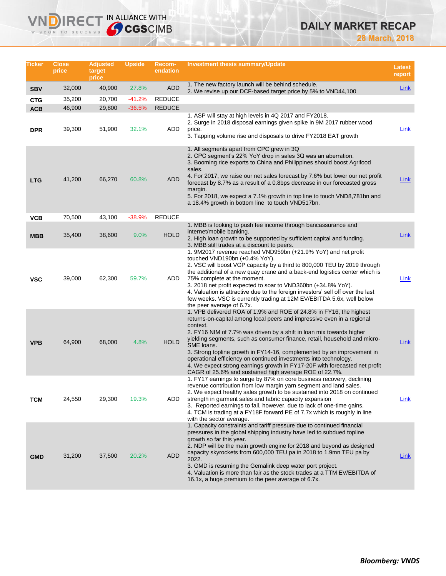# **DAILY MARKET RECAP**

**28 March, 2018**

| Ticker     | <b>Close</b><br>price | <b>Adjusted</b><br>target<br>price | <b>Upside</b> | Recom-<br>endation | Investment thesis summary/Update                                                                                                                                                                                                                                                                                                                                                                                                                                                                                                                                                                                  | <b>Latest</b><br>report |
|------------|-----------------------|------------------------------------|---------------|--------------------|-------------------------------------------------------------------------------------------------------------------------------------------------------------------------------------------------------------------------------------------------------------------------------------------------------------------------------------------------------------------------------------------------------------------------------------------------------------------------------------------------------------------------------------------------------------------------------------------------------------------|-------------------------|
| <b>SBV</b> | 32,000                | 40,900                             | 27.8%         | <b>ADD</b>         | 1. The new factory launch will be behind schedule.<br>2. We revise up our DCF-based target price by 5% to VND44,100                                                                                                                                                                                                                                                                                                                                                                                                                                                                                               | <b>Link</b>             |
| <b>CTG</b> | 35,200                | 20,700                             | $-41.2%$      | <b>REDUCE</b>      |                                                                                                                                                                                                                                                                                                                                                                                                                                                                                                                                                                                                                   |                         |
| <b>ACB</b> | 46,900                | 29,800                             | $-36.5%$      | <b>REDUCE</b>      |                                                                                                                                                                                                                                                                                                                                                                                                                                                                                                                                                                                                                   |                         |
| <b>DPR</b> | 39,300                | 51,900                             | 32.1%         | ADD                | 1. ASP will stay at high levels in 4Q 2017 and FY2018.<br>2. Surge in 2018 disposal earnings given spike in 9M 2017 rubber wood<br>price.<br>3. Tapping volume rise and disposals to drive FY2018 EAT growth                                                                                                                                                                                                                                                                                                                                                                                                      | Link                    |
| <b>LTG</b> | 41,200                | 66,270                             | 60.8%         | ADD                | 1. All segments apart from CPC grew in 3Q<br>2. CPC segment's 22% YoY drop in sales 3Q was an aberration.<br>3. Booming rice exports to China and Philippines should boost Agrifood<br>sales.<br>4. For 2017, we raise our net sales forecast by 7.6% but lower our net profit<br>forecast by 8.7% as a result of a 0.8bps decrease in our forecasted gross<br>margin.<br>5. For 2018, we expect a 7.1% growth in top line to touch VND8,781bn and<br>a 18.4% growth in bottom line to touch VND517bn.                                                                                                            | Link                    |
| VCB        | 70,500                | 43,100                             | $-38.9%$      | <b>REDUCE</b>      |                                                                                                                                                                                                                                                                                                                                                                                                                                                                                                                                                                                                                   |                         |
| <b>MBB</b> | 35,400                | 38,600                             | $9.0\%$       | <b>HOLD</b>        | 1. MBB is looking to push fee income through bancassurance and<br>internet/mobile banking.<br>2. High loan growth to be supported by sufficient capital and funding.<br>3. MBB still trades at a discount to peers.                                                                                                                                                                                                                                                                                                                                                                                               | Link                    |
| <b>VSC</b> | 39,000                | 62,300                             | 59.7%         | ADD                | 1. 9M2017 revenue reached VND959bn (+21.9% YoY) and net profit<br>touched VND190bn (+0.4% YoY).<br>2. VSC will boost VGP capacity by a third to 800,000 TEU by 2019 through<br>the additional of a new quay crane and a back-end logistics center which is<br>75% complete at the moment.<br>3. 2018 net profit expected to soar to VND360bn (+34.8% YoY).<br>4. Valuation is attractive due to the foreign investors' sell off over the last<br>few weeks. VSC is currently trading at 12M EV/EBITDA 5.6x, well below<br>the peer average of 6.7x.                                                               | Link                    |
| <b>VPB</b> | 64,900                | 68,000                             | 4.8%          | <b>HOLD</b>        | 1. VPB delivered ROA of 1.9% and ROE of 24.8% in FY16, the highest<br>returns-on-capital among local peers and impressive even in a regional<br>context.<br>2. FY16 NIM of 7.7% was driven by a shift in loan mix towards higher<br>yielding segments, such as consumer finance, retail, household and micro-<br>SME loans.<br>3. Strong topline growth in FY14-16, complemented by an improvement in<br>operational efficiency on continued investments into technology.<br>4. We expect strong earnings growth in FY17-20F with forecasted net profit<br>CAGR of 25.6% and sustained high average ROE of 22.7%. | Link                    |
| тсм        | 24,550                | 29,300                             | 19.3%         | ADD                | 1. FY17 earnings to surge by 87% on core business recovery, declining<br>revenue contribution from low margin yarn segment and land sales.<br>2. We expect healthy sales growth to be sustained into 2018 on continued<br>strength in garment sales and fabric capacity expansion<br>3. Reported earnings to fall, however, due to lack of one-time gains.<br>4. TCM is trading at a FY18F forward PE of 7.7x which is roughly in line<br>with the sector average.                                                                                                                                                | Link                    |
| <b>GMD</b> | 31,200                | 37,500                             | 20.2%         | <b>ADD</b>         | 1. Capacity constraints and tariff pressure due to continued financial<br>pressures in the global shipping industry have led to subdued topline<br>growth so far this year.<br>2. NDP will be the main growth engine for 2018 and beyond as designed<br>capacity skyrockets from 600,000 TEU pa in 2018 to 1.9mn TEU pa by<br>2022.<br>3. GMD is resuming the Gemalink deep water port project.<br>4. Valuation is more than fair as the stock trades at a TTM EV/EBITDA of<br>16.1x, a huge premium to the peer average of 6.7x.                                                                                 | <b>Link</b>             |

**VNDIRECT IN ALLIANCE WITH** 

WISDOM TO SUCCESS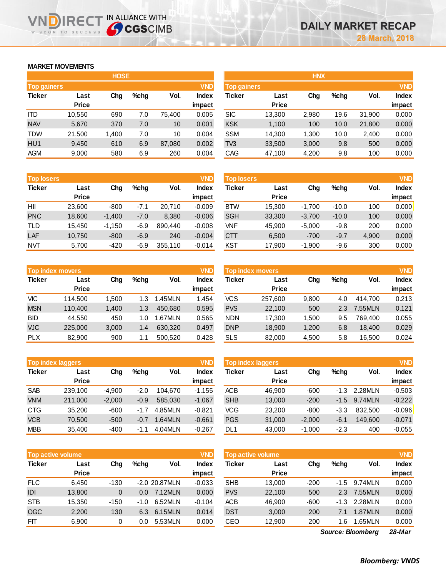# **MARKET MOVEMENTS**

WISDOM TO SUCCESS

|                                  | <b>HOSE</b>  |       |      |        |              |  |  |  |  |  |
|----------------------------------|--------------|-------|------|--------|--------------|--|--|--|--|--|
| <b>VND</b><br><b>Top gainers</b> |              |       |      |        |              |  |  |  |  |  |
| <b>Ticker</b>                    | Last         | Cha   | %chq | Vol.   | <b>Index</b> |  |  |  |  |  |
|                                  | <b>Price</b> |       |      |        | impact       |  |  |  |  |  |
| ITD                              | 10,550       | 690   | 7.0  | 75,400 | 0.005        |  |  |  |  |  |
| <b>NAV</b>                       | 5,670        | 370   | 7.0  | 10     | 0.001        |  |  |  |  |  |
| <b>TDW</b>                       | 21,500       | 1,400 | 7.0  | 10     | 0.004        |  |  |  |  |  |
| HU <sub>1</sub>                  | 9,450        | 610   | 6.9  | 87,080 | 0.002        |  |  |  |  |  |
| <b>AGM</b>                       | 9,000        | 580   | 6.9  | 260    | 0.004        |  |  |  |  |  |

NDIRECT IN ALLIANCE WITH

| <b>Top losers</b> |              |          |        |         | <b>VND</b>   |
|-------------------|--------------|----------|--------|---------|--------------|
| <b>Ticker</b>     | Last         | Cha      | %chq   | Vol.    | <b>Index</b> |
|                   | <b>Price</b> |          |        |         | impact       |
| НII               | 23,600       | $-800$   | $-7.1$ | 20,710  | $-0.009$     |
| <b>PNC</b>        | 18,600       | $-1,400$ | $-7.0$ | 8,380   | $-0.006$     |
| <b>TLD</b>        | 15,450       | $-1,150$ | $-6.9$ | 890,440 | $-0.008$     |
| LAF               | 10,750       | $-800$   | $-6.9$ | 240     | $-0.004$     |
| <b>NVT</b>        | 5,700        | -420     | $-6.9$ | 355,110 | $-0.014$     |

|               | <b>Top index movers</b> |       |      |         |              |  |  |  |  |  |
|---------------|-------------------------|-------|------|---------|--------------|--|--|--|--|--|
| <b>Ticker</b> | Last                    | Cha   | %chq | Vol.    | <b>Index</b> |  |  |  |  |  |
|               | <b>Price</b>            |       |      |         | impact       |  |  |  |  |  |
| VIC           | 114,500                 | 1,500 | 1.3  | 1.45MLN | 1.454        |  |  |  |  |  |
| <b>MSN</b>    | 110,400                 | 1,400 | 1.3  | 450,680 | 0.595        |  |  |  |  |  |
| <b>BID</b>    | 44,550                  | 450   | 1.0  | 1.67MLN | 0.565        |  |  |  |  |  |
| <b>VJC</b>    | 225,000                 | 3,000 | 1.4  | 630,320 | 0.497        |  |  |  |  |  |
| <b>PLX</b>    | 82,900                  | 900   | 1.1  | 500,520 | 0.428        |  |  |  |  |  |

| <b>VND</b><br><b>Top index laggers</b> |              |          |        |         |              |  |  |  |  |
|----------------------------------------|--------------|----------|--------|---------|--------------|--|--|--|--|
| <b>Ticker</b>                          | Last         | Cha      | %chq   | Vol.    | <b>Index</b> |  |  |  |  |
|                                        | <b>Price</b> |          |        |         | impact       |  |  |  |  |
| <b>SAB</b>                             | 239,100      | $-4,900$ | $-2.0$ | 104.670 | $-1.155$     |  |  |  |  |
| <b>VNM</b>                             | 211,000      | $-2,000$ | $-0.9$ | 585,030 | $-1.067$     |  |  |  |  |
| <b>CTG</b>                             | 35,200       | $-600$   | $-1.7$ | 4.85MLN | $-0.821$     |  |  |  |  |
| <b>VCB</b>                             | 70,500       | $-500$   | -0.7   | 1.64MLN | $-0.661$     |  |  |  |  |
| <b>MBB</b>                             | 35,400       | $-400$   | $-1.1$ | 4.04MLN | $-0.267$     |  |  |  |  |

|               | <b>Top active volume</b> |          |        |               | <b>VND</b>   |
|---------------|--------------------------|----------|--------|---------------|--------------|
| <b>Ticker</b> | Last                     | Cha      | %chq   | Vol.          | <b>Index</b> |
|               | <b>Price</b>             |          |        |               | impact       |
| <b>FLC</b>    | 6,450                    | $-130$   |        | -2.0 20.87MLN | $-0.033$     |
| IDI           | 13,800                   | $\Omega$ | 0.0    | 7.12MLN       | 0.000        |
| <b>STB</b>    | 15,350                   | -150     | $-1.0$ | 6.52MLN       | $-0.104$     |
| <b>OGC</b>    | 2,200                    | 130      | 6.3    | 6.15MLN       | 0.014        |
| FIT           | 6,900                    | 0        | 0.0    | 5.53MLN       | 0.000        |

|                    |              | <b>HOSE</b> |         |        |              |                    |              | <b>HNX</b> |      |        |              |
|--------------------|--------------|-------------|---------|--------|--------------|--------------------|--------------|------------|------|--------|--------------|
| <b>Top gainers</b> |              |             |         |        | <b>VND</b>   | <b>Top gainers</b> |              |            |      |        | <b>VND</b>   |
| Ticker             | Last         | Chg         | $%$ chg | Vol.   | <b>Index</b> | Ticker             | Last         | Chg        | %chg | Vol.   | <b>Index</b> |
|                    | <b>Price</b> |             |         |        | impact       |                    | <b>Price</b> |            |      |        | impact       |
| ITD                | 10.550       | 690         | 7.0     | 75,400 | 0.005        | <b>SIC</b>         | 13,300       | 2,980      | 19.6 | 31,900 | 0.000        |
| <b>NAV</b>         | 5,670        | 370         | 7.0     | 10     | 0.001        | <b>KSK</b>         | 1,100        | 100        | 10.0 | 21,800 | 0.000        |
| TDW                | 21,500       | 1,400       | 7.0     | 10     | 0.004        | <b>SSM</b>         | 14,300       | 1,300      | 10.0 | 2,400  | 0.000        |
| HU1                | 9,450        | 610         | 6.9     | 87,080 | 0.002        | TV <sub>3</sub>    | 33,500       | 3,000      | 9.8  | 500    | 0.000        |
| AGM                | 9,000        | 580         | 6.9     | 260    | 0.004        | CAG                | 47,100       | 4,200      | 9.8  | 100    | 0.000        |
|                    |              |             |         |        |              |                    |              |            |      |        |              |

| <b>Top losers</b> |              |          |         |         | <b>VND</b> | <b>Top losers</b> |              |          |         |       | <b>VND</b>   |
|-------------------|--------------|----------|---------|---------|------------|-------------------|--------------|----------|---------|-------|--------------|
| Ticker            | Last         | Chg      | $%$ chg | Vol.    | Index      | Ticker            | Last         | Chg      | $%$ chg | Vol.  | <b>Index</b> |
|                   | <b>Price</b> |          |         |         | impact     |                   | <b>Price</b> |          |         |       | impact       |
| HII               | 23.600       | $-800$   | -7.1    | 20.710  | $-0.009$   | <b>BTW</b>        | 15,300       | $-1.700$ | $-10.0$ | 100   | 0.000        |
| <b>PNC</b>        | 18,600       | $-1,400$ | $-7.0$  | 8,380   | $-0.006$   | <b>SGH</b>        | 33,300       | $-3,700$ | $-10.0$ | 100   | 0.000        |
| TLD               | 15.450       | $-1,150$ | $-6.9$  | 890.440 | $-0.008$   | VNF               | 45,900       | $-5.000$ | $-9.8$  | 200   | 0.000        |
| LAF               | 10,750       | $-800$   | $-6.9$  | 240     | $-0.004$   | <b>CTT</b>        | 6,500        | $-700$   | $-9.7$  | 4,900 | 0.000        |
| NVT               | 5,700        | -420     | -6.9    | 355,110 | $-0.014$   | KST               | 17,900       | $-1,900$ | $-9.6$  | 300   | 0.000        |

| <b>VND</b><br><b>Top index movers</b> |                      |       |         |         |                 | <b>VND</b><br>Top index movers |                      |       |         |         |                        |
|---------------------------------------|----------------------|-------|---------|---------|-----------------|--------------------------------|----------------------|-------|---------|---------|------------------------|
| Ticker                                | Last<br><b>Price</b> | Chg   | $%$ chq | Vol.    | Index<br>impact | Ticker                         | Last<br><b>Price</b> | Chg   | $%$ chg | Vol.    | <b>Index</b><br>impact |
| VIC                                   | 114,500              | 1.500 | 1.3     | .45MLN  | 1.454           | <b>VCS</b>                     | 257.600              | 9,800 | 4.0     | 414.700 | 0.213                  |
| <b>MSN</b>                            | 110,400              | 1.400 | 1.3     | 450.680 | 0.595           | <b>PVS</b>                     | 22.100               | 500   | 2.3     | 7.55MLN | 0.121                  |
| BID                                   | 44.550               | 450   | 1.0     | .67MLN  | 0.565           | <b>NDN</b>                     | 17.300               | 1.500 | 9.5     | 769.400 | 0.055                  |
| <b>VJC</b>                            | 225,000              | 3,000 | 1.4     | 630.320 | 0.497           | <b>DNP</b>                     | 18,900               | 1,200 | 6.8     | 18.400  | 0.029                  |
| PLX                                   | 82,900               | 900   | 1.1     | 500,520 | 0.428           | <b>SLS</b>                     | 82,000               | 4,500 | 5.8     | 16,500  | 0.024                  |

|            | <b>Top index laggers</b> |          |         |         | <b>VND</b>      | <b>VND</b><br>Top index laggers |                      |          |         |         |                        |
|------------|--------------------------|----------|---------|---------|-----------------|---------------------------------|----------------------|----------|---------|---------|------------------------|
| Ticker     | Last<br><b>Price</b>     | Chg      | $%$ chq | Vol.    | Index<br>impact | Ticker                          | Last<br><b>Price</b> | Chg      | $%$ chg | Vol.    | <b>Index</b><br>impact |
| SAB        | 239.100                  | $-4.900$ | $-2.0$  | 104.670 | $-1.155$        | <b>ACB</b>                      | 46.900               | $-600$   | -1.3    | 2.28MLN | $-0.503$               |
| <b>VNM</b> | 211,000                  | $-2,000$ | $-0.9$  | 585.030 | $-1.067$        | <b>SHB</b>                      | 13,000               | $-200$   | $-1.5$  | 9.74MLN | $-0.222$               |
| CTG        | 35,200                   | $-600$   | $-1.7$  | 4.85MLN | $-0.821$        | VCG                             | 23,200               | $-800$   | $-3.3$  | 832.500 | $-0.096$               |
| <b>VCB</b> | 70.500                   | $-500$   | $-0.7$  | .64MLN  | $-0.661$        | <b>PGS</b>                      | 31,000               | $-2,000$ | -6.1    | 149,600 | $-0.071$               |
| MBB        | 35,400                   | $-400$   | -1.1    | 4.04MLN | $-0.267$        | DL1                             | 43,000               | $-1,000$ | $-2.3$  | 400     | $-0.055$               |

| <b>Top active volume</b> |              |                |         |                 | <b>VND</b>   | <b>Top active volume</b> |              |        |         |         | <b>VND</b>   |  |
|--------------------------|--------------|----------------|---------|-----------------|--------------|--------------------------|--------------|--------|---------|---------|--------------|--|
| Ticker                   | Last         | Chg            | $%$ chg | Vol.            | <b>Index</b> | Ticker                   | Last         | Chg    | $%$ chg | Vol.    | <b>Index</b> |  |
|                          | <b>Price</b> |                |         |                 | impact       |                          | <b>Price</b> |        |         |         | impact       |  |
| <b>FLC</b>               | 6.450        | $-130$         |         | $-2.020.87$ MLN | $-0.033$     | <b>SHB</b>               | 13.000       | $-200$ | -1.5    | 9.74MLN | 0.000        |  |
| IDI                      | 13,800       | $\overline{0}$ | $0.0\,$ | 7.12MLN         | 0.000        | <b>PVS</b>               | 22,100       | 500    | 2.3     | 7.55MLN | 0.000        |  |
| <b>STB</b>               | 15.350       | $-150$         | $-1.0$  | 6.52MLN         | $-0.104$     | <b>ACB</b>               | 46.900       | $-600$ | -1.3    | 2.28MLN | 0.000        |  |
| OGC                      | 2,200        | 130            | 6.3     | 6.15MLN         | 0.014        | <b>DST</b>               | 3,000        | 200    | 7.1     | 1.87MLN | 0.000        |  |
| FIT                      | 6,900        | 0              | 0.0     | 5.53MLN         | 0.000        | CEO                      | 12,900       | 200    | .6      | 1.65MLN | 0.000        |  |
|                          |              |                |         |                 |              |                          |              |        | --      |         | -- --        |  |

*28-Mar Source: Bloomberg*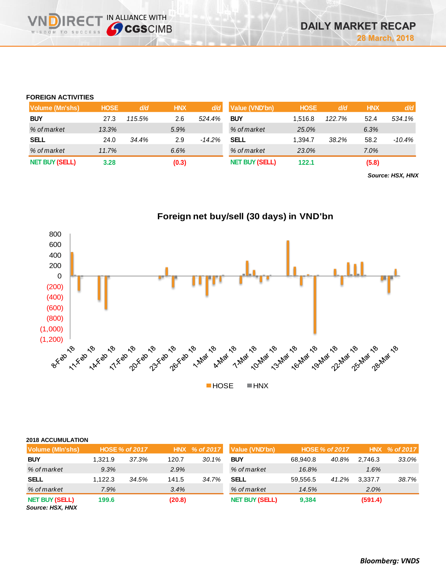# **FOREIGN ACTIVITIES**

**VNDIRECT IN ALLIANCE WITH** 

| Volume (Mn'shs)       | <b>HOSE</b> | d/d    | <b>HNX</b> | d/d      | <b>Value (VND'bn)</b> | <b>HOSE</b> | ld/di  | <b>HNX</b> | d/d    |
|-----------------------|-------------|--------|------------|----------|-----------------------|-------------|--------|------------|--------|
| <b>BUY</b>            | 27.3        | 115.5% | 2.6        | 524.4%   | <b>BUY</b>            | 1.516.8     | 122.7% | 52.4       | 534.1% |
| % of market           | 13.3%       |        | 5.9%       |          | % of market           | 25.0%       |        | 6.3%       |        |
| <b>SELL</b>           | 24.0        | 34.4%  | 2.9        | $-14.2%$ | <b>SELL</b>           | 1.394.7     | 38.2%  | 58.2       | -10.4% |
| % of market           | 11.7%       |        | 6.6%       |          | % of market           | 23.0%       |        | 7.0%       |        |
| <b>NET BUY (SELL)</b> | 3.28        |        | (0.3)      |          | <b>NET BUY (SELL)</b> | 122.1       |        | (5.8)      |        |

**Foreign net buy/sell (30 days) in VND'bn**

*Source: HSX, HNX*

 $(1,200)$  , the reader respectively. The reader respectively. The respective respective respective respectively. The respective respective respectively. The respective respectively. The respective respective respectively. (1,000) (800) (600) (400) (200) 0 200 400 600 800 **HOSE HNX** 

| <b>2018 ACCUMULATION</b>                  |         |                       |        |               |                       |          |                |            |           |
|-------------------------------------------|---------|-----------------------|--------|---------------|-----------------------|----------|----------------|------------|-----------|
| <b>Volume (MIn'shs)</b>                   |         | <b>HOSE % of 2017</b> |        | HNX % of 2017 | Value (VND'bn)        |          | HOSE % of 2017 | <b>HNX</b> | % of 2017 |
| <b>BUY</b>                                | 1.321.9 | 37.3%                 | 120.7  | 30.1%         | <b>BUY</b>            | 68.940.8 | 40.8%          | 2.746.3    | 33.0%     |
| % of market                               | 9.3%    |                       | 2.9%   |               | % of market           | 16.8%    |                | 1.6%       |           |
| <b>SELL</b>                               | 1.122.3 | 34.5%                 | 141.5  | 34.7%         | <b>SELL</b>           | 59.556.5 | 41.2%          | 3,337.7    | 38.7%     |
| % of market                               | 7.9%    |                       | 3.4%   |               | % of market           | 14.5%    |                | 2.0%       |           |
| <b>NET BUY (SELL)</b><br>Source: HSX, HNX | 199.6   |                       | (20.8) |               | <b>NET BUY (SELL)</b> | 9,384    |                | (591.4)    |           |

*Bloomberg: VNDS*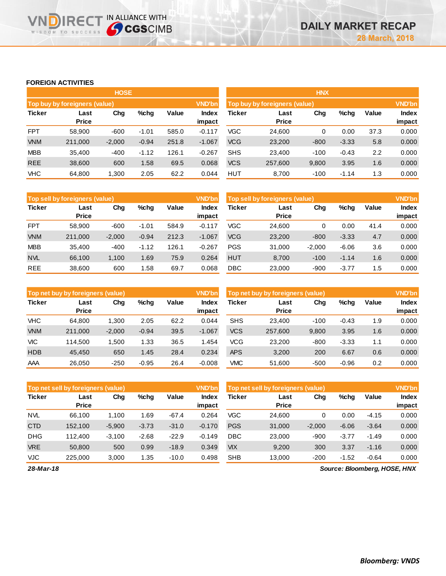### **FOREIGN ACTIVITIES**

**VNDIRECT IN ALLIANCE WITH** 

|               |                                                 | <b>HOSE</b> |         |       |                        | <b>HNX</b>                                     |                      |        |         |       |                 |
|---------------|-------------------------------------------------|-------------|---------|-------|------------------------|------------------------------------------------|----------------------|--------|---------|-------|-----------------|
|               | Top buy by foreigners (value)                   |             |         |       | <b>VND'bn</b>          | <b>VND'bn</b><br>Top buy by foreigners (value) |                      |        |         |       |                 |
| <b>Ticker</b> | Value<br>Chg<br>$%$ chg<br>Last<br><b>Price</b> |             |         |       | <b>Index</b><br>impact | Ticker                                         | Last<br><b>Price</b> | Chg    | %chg    | Value | Index<br>impact |
| <b>FPT</b>    | 58,900                                          | $-600$      | $-1.01$ | 585.0 | $-0.117$               | <b>VGC</b>                                     | 24,600               | 0      | 0.00    | 37.3  | 0.000           |
| <b>VNM</b>    | 211,000                                         | $-2,000$    | $-0.94$ | 251.8 | $-1.067$               | <b>VCG</b>                                     | 23,200               | $-800$ | $-3.33$ | 5.8   | 0.000           |
| <b>MBB</b>    | 35.400                                          | $-400$      | $-1.12$ | 126.1 | $-0.267$               | <b>SHS</b>                                     | 23.400               | $-100$ | $-0.43$ | 2.2   | 0.000           |
| <b>REE</b>    | 38,600                                          | 600         | 1.58    | 69.5  | 0.068                  | <b>VCS</b>                                     | 257,600              | 9,800  | 3.95    | 1.6   | 0.000           |
| <b>VHC</b>    | 64,800                                          | 1,300       | 2.05    | 62.2  | 0.044                  | <b>HUT</b>                                     | 8,700                | $-100$ | $-1.14$ | 1.3   | 0.000           |

|               | <b>Top sell by foreigners (value)</b> |          |         |       | VND'bn          | Top sell by foreigners (value) |                      |          |         |       | <b>VND'bn</b>          |
|---------------|---------------------------------------|----------|---------|-------|-----------------|--------------------------------|----------------------|----------|---------|-------|------------------------|
| <b>Ticker</b> | Last<br><b>Price</b>                  | Chg      | %chq    | Value | Index<br>impact | Ticker                         | Last<br><b>Price</b> | Chg      | %chg    | Value | <b>Index</b><br>impact |
| <b>FPT</b>    | 58,900                                | $-600$   | $-1.01$ | 584.9 | $-0.117$        | VGC                            | 24.600               | 0        | 0.00    | 41.4  | 0.000                  |
| <b>VNM</b>    | 211,000                               | $-2,000$ | $-0.94$ | 212.3 | $-1.067$        | <b>VCG</b>                     | 23,200               | $-800$   | $-3.33$ | 4.7   | 0.000                  |
| <b>MBB</b>    | 35.400                                | $-400$   | $-1.12$ | 126.1 | $-0.267$        | <b>PGS</b>                     | 31.000               | $-2.000$ | $-6.06$ | 3.6   | 0.000                  |
| <b>NVL</b>    | 66.100                                | 1.100    | .69     | 75.9  | 0.264           | <b>HUT</b>                     | 8.700                | $-100$   | $-1.14$ | 1.6   | 0.000                  |
| <b>REE</b>    | 38,600                                | 600      | 1.58    | 69.7  | 0.068           | <b>DBC</b>                     | 23,000               | $-900$   | $-3.77$ | 1.5   | 0.000                  |

|               | <b>VND'bn</b><br>Top net buy by foreigners (value) |          |         |       |                 |            | Top net buy by foreigners (value) |        |         |       |                 |  |
|---------------|----------------------------------------------------|----------|---------|-------|-----------------|------------|-----------------------------------|--------|---------|-------|-----------------|--|
| <b>Ticker</b> | Last<br><b>Price</b>                               | Chg      | $%$ chg | Value | Index<br>impact | Ticker     | Last<br><b>Price</b>              | Chg    | %chg    | Value | Index<br>impact |  |
| <b>VHC</b>    | 64.800                                             | 1.300    | 2.05    | 62.2  | 0.044           | <b>SHS</b> | 23.400                            | $-100$ | $-0.43$ | 1.9   | 0.000           |  |
| <b>VNM</b>    | 211.000                                            | $-2,000$ | $-0.94$ | 39.5  | $-1.067$        | <b>VCS</b> | 257.600                           | 9,800  | 3.95    | 1.6   | 0.000           |  |
| <b>VIC</b>    | 114.500                                            | 1.500    | 1.33    | 36.5  | 1.454           | <b>VCG</b> | 23,200                            | $-800$ | $-3.33$ | 1.1   | 0.000           |  |
| <b>HDB</b>    | 45.450                                             | 650      | 1.45    | 28.4  | 0.234           | <b>APS</b> | 3.200                             | 200    | 6.67    | 0.6   | 0.000           |  |
| AAA           | 26,050                                             | $-250$   | $-0.95$ | 26.4  | $-0.008$        | <b>VMC</b> | 51.600                            | $-500$ | $-0.96$ | 0.2   | 0.000           |  |

|               | VND'bn<br>Top net sell by foreigners (value) |          |         |         |                 |            | Top net sell by foreigners (value) |          |         |         |                 |
|---------------|----------------------------------------------|----------|---------|---------|-----------------|------------|------------------------------------|----------|---------|---------|-----------------|
| <b>Ticker</b> | Last<br><b>Price</b>                         | Chg      | $%$ chg | Value   | Index<br>impact | Ticker     | Last<br><b>Price</b>               | Chg      | %chg    | Value   | Index<br>impact |
| <b>NVL</b>    | 66.100                                       | 1.100    | 1.69    | $-67.4$ | 0.264           | VGC        | 24.600                             | 0        | 0.00    | $-4.15$ | 0.000           |
| <b>CTD</b>    | 152,100                                      | $-5,900$ | $-3.73$ | $-31.0$ | $-0.170$        | <b>PGS</b> | 31,000                             | $-2,000$ | $-6.06$ | $-3.64$ | 0.000           |
| <b>DHG</b>    | 112,400                                      | $-3.100$ | $-2.68$ | $-22.9$ | $-0.149$        | DBC        | 23,000                             | $-900$   | $-3.77$ | $-1.49$ | 0.000           |
| <b>VRE</b>    | 50,800                                       | 500      | 0.99    | $-18.9$ | 0.349           | <b>VIX</b> | 9,200                              | 300      | 3.37    | $-1.16$ | 0.000           |
| <b>VJC</b>    | 225,000                                      | 3.000    | 1.35    | $-10.0$ | 0.498           | <b>SHB</b> | 13.000                             | $-200$   | $-1.52$ | $-0.64$ | 0.000           |

*28-Mar-18*

*Source: Bloomberg, HOSE, HNX*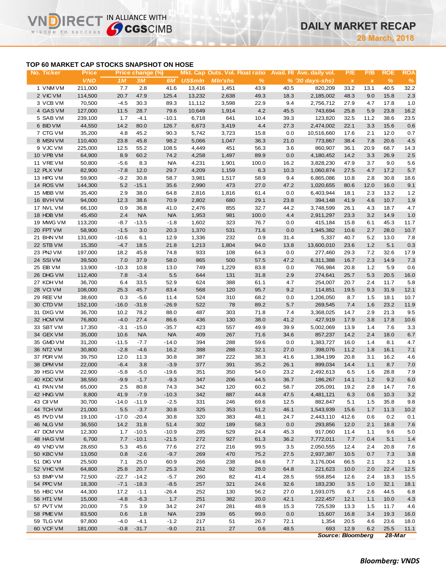# **TOP 60 MARKET CAP STOCKS SNAPSHOT ON HOSE**

**IN ALLIANCE WITH** 

WISDOM TO SUCCESS

| No. Ticker             | <b>Price</b>      |                 | Price change (%) |                 |                |                |               |              | Mkt. Cap Outs. Vol. Float ratio Avail. Fil Ave. daily vol. | P/E                       | P/B          | <b>ROE</b>   | <b>ROA</b>  |
|------------------------|-------------------|-----------------|------------------|-----------------|----------------|----------------|---------------|--------------|------------------------------------------------------------|---------------------------|--------------|--------------|-------------|
|                        | <b>VND</b>        | 1M              | 3M               | 6M              | <b>US\$mln</b> | <b>MIn'shs</b> | $\frac{9}{6}$ |              | $% (30 days-shs)$                                          | $\boldsymbol{\mathsf{x}}$ | $\pmb{\chi}$ | %            | $\%$        |
| 1 VNM VM               | 211,000           | 7.7             | 2.8              | 41.6            | 13,416         | 1,451          | 43.9          | 40.5         | 820,209                                                    | 33.2                      | 13.1         | 40.5         | 32.2        |
| 2 VIC VM               | 114,500           | 20.7            | 47.9             | 125.4           | 13,232         | 2,638          | 49.3          | 18.3         | 2,185,002                                                  | 48.3                      | 9.0          | 15.8         | 2.3         |
| 3 VCB VM               | 70,500            | $-4.5$          | 30.3             | 89.3            | 11,112         | 3,598          | 22.9          | 9.4          | 2,756,712                                                  | 27.9                      | 4.7          | 17.8         | 1.0         |
| 4 GAS VM               | 127,000           | 11.5            | 28.7             | 79.6            | 10,649         | 1,914          | 4.2           | 45.5         | 743,694                                                    | 25.8                      | 5.9          | 23.8         | 16.2        |
| 5 SAB VM               | 239,100           | 1.7             | $-4.1$           | $-10.1$         | 6,718          | 641            | 10.4          | 39.3         | 123,820                                                    | 32.5                      | 11.2         | 38.6         | 23.5        |
| 6 BID VM               | 44,550            | 14.2            | 80.0             | 126.7           | 6,673          | 3,419          | 4.4           | 27.3         | 2,474,002                                                  | 22.1                      | 3.3          | 15.6         | 0.6         |
| 7 CTG VM               | 35,200            | 4.8             | 45.2             | 90.3            | 5,742          | 3,723          | 15.8          | 0.0          | 10,516,660                                                 | 17.6                      | 2.1          | 12.0         | 0.7         |
| 8 MSN VM               | 110,400           | 23.8            | 45.8             | 98.2            | 5,066          | 1,047          | 36.3          | 21.0         | 773,867                                                    | 38.4                      | 7.8          | 20.6         | 4.5         |
| 9 VJC VM               | 225,000           | 12.5            | 55.2             | 108.5           | 4,449          | 451            | 56.3          | 3.6          | 860,907                                                    | 36.1                      | 20.9         | 68.7         | 14.3        |
| 10 VPB VM              | 64,900            | 8.9             | 60.2             | 74.2            | 4,258          | 1,497          | 89.9          | 0.0          | 4,180,452                                                  | 14.2                      | 3.3          | 26.9         | 2.5         |
| 11 VRE VM              | 50,800            | $-5.6$          | 8.3              | <b>N/A</b>      | 4,231          | 1,901          | 100.0         | 16.2         | 3,828,230                                                  | 47.9                      | 3.7          | 9.0          | 5.6         |
| 12 PLX VM              | 82,900            | $-7.8$          | 12.0             | 29.7            | 4,209          | 1,159          | 6.3           | 10.3         | 1,060,874                                                  | 27.5                      | 4.7          | 17.2         | $5.7\,$     |
| 13 HPG VM              | 59,900            | $-9.2$          | 30.8             | 58.7            | 3,981          | 1,517          | 58.9          | 9.4          | 6,865,086                                                  | 10.8                      | 2.8          | 30.8         | 18.6        |
| 14 ROS VM              | 144,300           | $5.2$           | $-15.1$          | 35.6            | 2,990          | 473            | 27.0          | 47.2         | 1,020,655                                                  | 80.6                      | 12.0         | 16.0         | 9.1         |
| 15 MBB VM              | 35,400            | 2.9             | 38.0             | 64.8            | 2,816          | 1,816          | 61.4          | 0.0          | 6,403,944                                                  | 18.1                      | 2.3          | 13.2         | 1.2         |
| 16 BVH VM              | 94,000            | 12.3            | 38.6             | 70.9            | 2,802          | 680            | 29.1          | 23.8         | 394,148                                                    | 41.9                      | 4.6          | 10.7         | 1.9         |
| 17 NVL VM              | 66,100            | 0.9             | 36.8             | 41.0            | 2,476          | 855            | 32.7          | 44.2         | 3,748,599                                                  | 26.1                      | 4.3          | 18.7         | 4.7         |
| 18 HDB VM              | 45,450            | 2.4             | <b>N/A</b>       | <b>N/A</b>      | 1,953          | 981            | 100.0         | 4.4          | 2,911,297                                                  | 23.3                      | 3.2          | 14.9         | 1.0         |
| 19 MWG VM              | 113,200           | $-8.7$          | $-13.5$          | $-1.8$          | 1,602          | 323            | 76.7          | 0.0          | 415,184                                                    | 15.8                      | 6.1          | 45.3         | 11.7        |
| 20 FPT VM              | 58,900            | $-1.5$          | 3.0              | 20.3            | 1,370          | 531            | 71.6          | 0.0          | 1,945,382                                                  | 10.6                      | 2.7          | 28.0         | 10.7        |
| 21 BHN VM              | 131,600           | $-10.6$         | 6.1              | 12.9            | 1,336          | 232            | 0.9           | 31.4         | 5,337                                                      | 40.7                      | 5.2          | 13.0         | 7.8         |
| 22 STB VM              | 15,350            | $-4.7$          | 18.5             | 21.8            | 1,213          | 1,804          | 94.0          | 13.8         | 13,600,010                                                 | 23.6                      | 1.2          | 5.1          | 0.3         |
| 23 PNJ VM              | 197,000           | 18.2            | 45.8             | 74.8            | 933            | 108            | 64.3          | 0.0          | 277,460                                                    | 29.3                      | 7.2          | 32.6         | 17.9        |
| 24 SSIVM               | 39,500            | 7.0             | 37.9             | 58.0            | 865            | 500            | 57.5          | 47.2         | 6,311,388                                                  | 16.7                      | 2.3          | 14.9         | $7.3$       |
| 25 EIB VM              | 13,900            | $-10.3$         | 10.8             | 13.0            | 749            | 1,229          | 83.8          | 0.0          | 766,984                                                    | 20.8                      | 1.2          | 5.9          | 0.6         |
| 26 DHG VM              | 112,400           | 7.8             | $-3.4$           | 5.5             | 644            | 131            | 31.8          | 2.9          | 274,641                                                    | 25.7                      | 5.3          | 20.5         | 16.0        |
| 27 KDH VM              | 36,700            | 6.4             | 33.5             | 52.9            | 624            | 388            | 61.1          | 4.7          | 254,007                                                    | 20.7                      | 2.4          | 11.7         | 5.8         |
| 28 VCIVM               | 108,000           | 25.3            | 45.7             | 83.4            | 568            | 120            | 95.7          | 9.2          | 114,851                                                    | 19.5                      | 9.3          | 31.9         | 12.1        |
| 29 REE VM              | 38,600            | 0.3             | $-5.6$           | 11.4<br>$-26.9$ | 524<br>522     | 310<br>78      | 68.2<br>89.2  | 0.0          | 1,206,050                                                  | 8.7                       | 1.5          | 18.1         | 10.7        |
| 30 CTD VM<br>31 DXG VM | 152,100<br>36,700 | $-16.0$<br>10.2 | $-31.8$<br>78.2  | 88.0            | 487            | 303            | 71.8          | 5.7<br>7.4   | 269,545<br>3,368,025                                       | 7.4<br>14.7               | 1.6<br>2.9   | 23.2<br>21.3 | 11.9<br>9.5 |
|                        |                   | $-4.0$          |                  |                 |                | 130            |               |              |                                                            |                           |              |              |             |
| 32 HCM VM<br>33 SBT VM | 76,800<br>17,350  | $-3.1$          | 27.4<br>$-15.0$  | 86.6<br>$-35.7$ | 436<br>423     | 557            | 38.0<br>49.9  | 41.2<br>39.9 | 427,919<br>5,002,069                                       | 17.9<br>13.9              | 3.8<br>1.4   | 17.8<br>7.6  | 10.6        |
| 34 GEX VM              | 35,000            | 10.6            | <b>N/A</b>       | <b>N/A</b>      | 409            | 267            | 71.6          | 34.6         | 857,237                                                    | 14.2                      | 2.4          | 18.0         | 3.3<br>6.7  |
| 35 GMD VM              | 31,200            | $-11.5$         | $-7.7$           | $-14.0$         | 394            | 288            | 59.6          | 0.0          | 1,383,727                                                  | 16.0                      | 1.4          | 8.1          | 4.7         |
| 36 NT2 VM              | 30,800            | $-2.8$          | $-4.6$           | 16.2            | 388            | 288            | 32.1          | 27.0         | 398,076                                                    | 11.2                      | 1.8          | 16.1         | 7.1         |
| 37 PDR VM              | 39,750            | 12.0            | 11.3             | 30.8            | 387            | 222            | 38.3          | 41.6         | 1,384,199                                                  | 20.8                      | 3.1          | 16.2         | 4.6         |
| 38 DPM VM              | 22,000            | $-6.4$          | 3.8              | $-3.9$          | 377            | 391            | 35.2          | 26.1         | 899,034                                                    | 14.4                      | 1.1          | 8.7          | $7.0$       |
| 39 HSG VM              | 22,900            | $-5.8$          | $-5.0$           | $-19.6$         | 351            | 350            | 54.0          | 23.2         | 2,492,613                                                  | 6.5                       | 1.6          | 28.8         | 7.9         |
| 40 KDC VM              | 38,550            | $-9.9$          | $-1.7$           | $-9.3$          | 347            | 206            | 44.5          | 36.7         | 186,267                                                    | 14.1                      | 1.2          | 9.2          | 6.0         |
| 41 PAN VM              | 65,000            | 2.5             | 80.8             | 74.3            | 342            | 120            | 60.2          | 58.7         | 205,091                                                    | 19.2                      | 2.8          | 14.7         | 7.6         |
| 42 HNG VM              | 8,800             | 41.9            | $-7.9$           | $-10.3$         | 342            | 887            | 44.8          | 47.5         | 4,481,121                                                  | 6.3                       | 0.6          | 10.3         | 3.2         |
| 43 CII VM              | 30,700            |                 | $-14.0 - 11.9$   | $-2.5$          | 331            | 246            | 69.6          | 12.5         | 882,847                                                    | 5.1                       | 1.5          | 35.8         | 9.8         |
| 44 TCH VM              | 21,000            | 5.5             | $-3.7$           | 30.8            | 325            | 353            | 51.2          | 46.1         | 1,543,939                                                  | 15.6                      | 1.7          | 11.3         | 10.2        |
| 45 PVD VM              | 19,100            | $-17.0$         | $-20.4$          | 30.8            | 320            | 383            | 48.1          | 24.7         | 2,443,110                                                  | 412.6                     | 0.6          | 0.2          | 0.1         |
| 46 NLG VM              | 36,550            | 14.2            | 31.8             | 51.4            | 302            | 189            | 58.3          | 0.0          | 293,856                                                    | 12.0                      | 2.1          | 18.8         | 7.6         |
| 47 DCM VM              | 12,300            | 1.7             | $-10.5$          | $-10.9$         | 285            | 529            | 24.4          | 45.3         | 917,060                                                    | 11.4                      | 1.1          | 9.6          | 5.0         |
| 48 HAG VM              | 6,700             | 7.7             | $-10.1$          | $-21.5$         | 272            | 927            | 61.3          | 36.2         | 7,772,011                                                  | 7.7                       | 0.4          | 5.1          | 1.4         |
| 49 VND VM              | 28,650            | 5.3             | 45.6             | 77.6            | 272            | 216            | 99.5          | 3.5          | 2,050,555                                                  | 12.4                      | 2.4          | 20.8         | 7.6         |
| 50 KBC VM              | 13,050            | 0.8             | $-2.6$           | $-9.7$          | 269            | 470            | 75.2          | 27.5         | 2,937,387                                                  | 10.5                      | 0.7          | 7.3          | 3.8         |
| 51 DIG VM              | 25,500            | 7.1             | 25.0             | 60.9            | 266            | 238            | 84.6          | 7.7          | 3,176,004                                                  | 66.5                      | 2.1          | 3.2          | 1.6         |
| 52 VHC VM              | 64,800            | 25.8            | 20.7             | 25.3            | 262            | 92             | 28.0          | 64.8         | 221,623                                                    | 10.0                      | 2.0          | 22.4         | 12.5        |
| 53 BMP VM              | 72,500            | -22.7           | $-14.2$          | $-5.7$          | 260            | 82             | 41.4          | 28.5         | 558,854                                                    | 12.6                      | 2.4          | 18.3         | 15.5        |
| 54 PPC VM              | 18,300            | $-7.1$          | $-18.3$          | $-8.5$          | 257            | 321            | 24.6          | 32.6         | 183,230                                                    | 3.5                       | 1.0          | 32.1         | 18.1        |
| 55 HBC VM              | 44,300            | 17.2            | $-1.1$           | $-26.4$         | 252            | 130            | 56.2          | 27.0         | 1,593,075                                                  | 6.7                       | 2.6          | 44.5         | 6.8         |
| 56 HT1 VM              | 15,000            | $-4.8$          | $-6.3$           | 1.7             | 251            | 382            | 20.0          | 42.1         | 222,457                                                    | 12.1                      | 1.1          | 10.0         | 4.3         |
| 57 PVT VM              | 20,000            | 7.5             | 3.9              | 34.2            | 247            | 281            | 48.9          | 15.3         | 725,539                                                    | 13.3                      | 1.5          | 11.7         | 4.6         |
| 58 PME VM              | 83,500            | 0.6             | 1.8              | <b>N/A</b>      | 239            | 65             | 99.0          | 0.0          | 15,607                                                     | 16.8                      | 3.4          | 19.3         | 16.0        |
| 59 TLG VM              | 97,800            | $-4.0$          | $-4.1$           | $-1.2$          | 217            | 51             | 26.7          | 72.1         | 1,354                                                      | 20.5                      | 4.6          | 23.6         | 18.0        |
| 60 VCF VM              | 181,000           | $-0.8$          | $-31.7$          | $-9.0$          | 211            | 27             | 0.6           | 48.5         | 693                                                        | 12.9                      | 6.2          | 25.5         | 11.1        |
|                        |                   |                 |                  |                 |                |                |               |              | <b>Source: Bloomberg</b>                                   |                           |              | $28$ -Mar    |             |